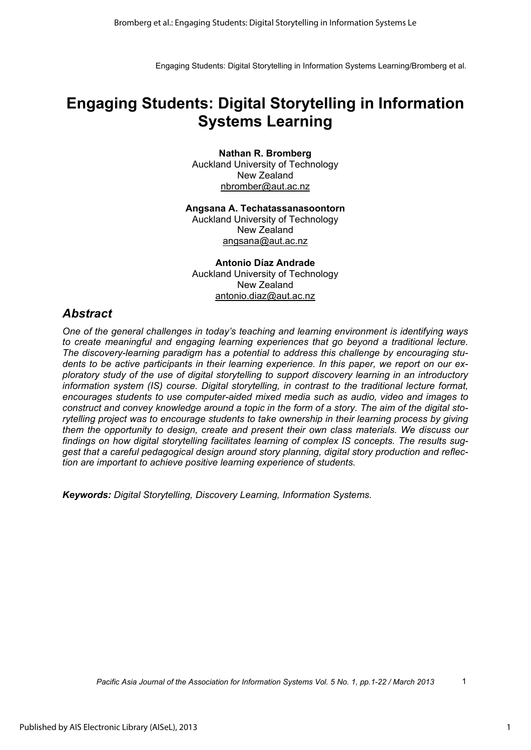# **Engaging Students: Digital Storytelling in Information Systems Learning**

#### **Nathan R. Bromberg**

Auckland University of Technology New Zealand nbromber@aut.ac.nz

#### **Angsana A. Techatassanasoontorn**

Auckland University of Technology New Zealand angsana@aut.ac.nz

#### **Antonio Díaz Andrade**

Auckland University of Technology New Zealand antonio.diaz@aut.ac.nz

### *Abstract*

*One of the general challenges in today's teaching and learning environment is identifying ways to create meaningful and engaging learning experiences that go beyond a traditional lecture. The discovery-learning paradigm has a potential to address this challenge by encouraging students to be active participants in their learning experience. In this paper, we report on our exploratory study of the use of digital storytelling to support discovery learning in an introductory information system (IS) course. Digital storytelling, in contrast to the traditional lecture format, encourages students to use computer-aided mixed media such as audio, video and images to construct and convey knowledge around a topic in the form of a story. The aim of the digital storytelling project was to encourage students to take ownership in their learning process by giving them the opportunity to design, create and present their own class materials. We discuss our findings on how digital storytelling facilitates learning of complex IS concepts. The results suggest that a careful pedagogical design around story planning, digital story production and reflection are important to achieve positive learning experience of students.*  Engaging Students: Digital Storytelling in Information Systems Learning Structure INSTEENTS Learning<br>
Netchand R. Bromberg<br>
Auckland Information Systems Learning<br>
New Zealand<br>
Information Students<br>
Angean A. Technology<br>
An

*Keywords: Digital Storytelling, Discovery Learning, Information Systems.*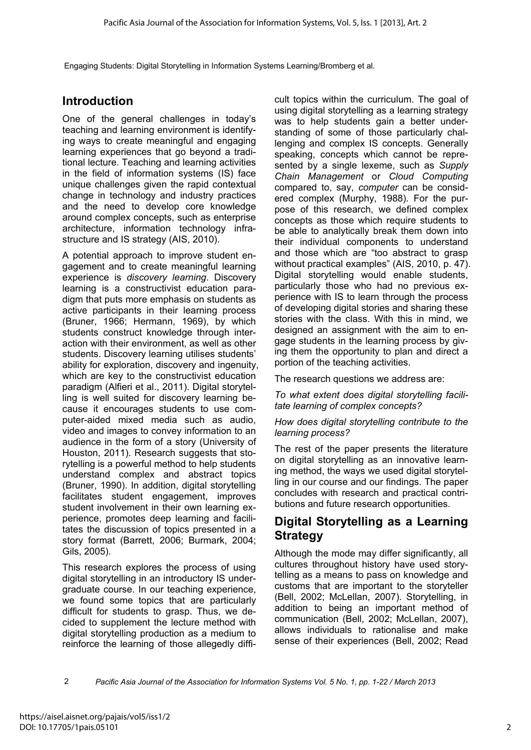## **Introduction**

One of the general challenges in today's teaching and learning environment is identifying ways to create meaningful and engaging learning experiences that go beyond a traditional lecture. Teaching and learning activities in the field of information systems (IS) face unique challenges given the rapid contextual change in technology and industry practices and the need to develop core knowledge around complex concepts, such as enterprise architecture, information technology infrastructure and IS strategy (AIS, 2010).

A potential approach to improve student engagement and to create meaningful learning experience is *discovery learning*. Discovery learning is a constructivist education paradigm that puts more emphasis on students as active participants in their learning process (Bruner, 1966; Hermann, 1969), by which students construct knowledge through interaction with their environment, as well as other students. Discovery learning utilises students' ability for exploration, discovery and ingenuity, which are key to the constructivist education paradigm (Alfieri et al., 2011). Digital storytelling is well suited for discovery learning because it encourages students to use computer-aided mixed media such as audio, video and images to convey information to an audience in the form of a story (University of Houston, 2011). Research suggests that storytelling is a powerful method to help students understand complex and abstract topics (Bruner, 1990). In addition, digital storytelling facilitates student engagement, improves student involvement in their own learning experience, promotes deep learning and facilitates the discussion of topics presented in a story format (Barrett, 2006; Burmark, 2004; Gils, 2005).

This research explores the process of using digital storytelling in an introductory IS undergraduate course. In our teaching experience, we found some topics that are particularly difficult for students to grasp. Thus, we decided to supplement the lecture method with digital storytelling production as a medium to reinforce the learning of those allegedly difficult topics within the curriculum. The goal of using digital storytelling as a learning strategy was to help students gain a better understanding of some of those particularly challenging and complex IS concepts. Generally speaking, concepts which cannot be represented by a single lexeme, such as *Supply Chain Management* or *Cloud Computing* compared to, say, *computer* can be considered complex (Murphy, 1988). For the purpose of this research, we defined complex concepts as those which require students to be able to analytically break them down into their individual components to understand and those which are "too abstract to grasp without practical examples" (AIS, 2010, p. 47). Digital storytelling would enable students, particularly those who had no previous experience with IS to learn through the process of developing digital stories and sharing these stories with the class. With this in mind, we designed an assignment with the aim to engage students in the learning process by giving them the opportunity to plan and direct a portion of the teaching activities.

The research questions we address are:

*To what extent does digital storytelling facilitate learning of complex concepts?* 

*How does digital storytelling contribute to the learning process?* 

The rest of the paper presents the literature on digital storytelling as an innovative learning method, the ways we used digital storytelling in our course and our findings. The paper concludes with research and practical contributions and future research opportunities.

## **Digital Storytelling as a Learning Strategy**

Although the mode may differ significantly, all cultures throughout history have used storytelling as a means to pass on knowledge and customs that are important to the storyteller (Bell, 2002; McLellan, 2007). Storytelling, in addition to being an important method of communication (Bell, 2002; McLellan, 2007), allows individuals to rationalise and make sense of their experiences (Bell, 2002; Read

 $\mathfrak{p}$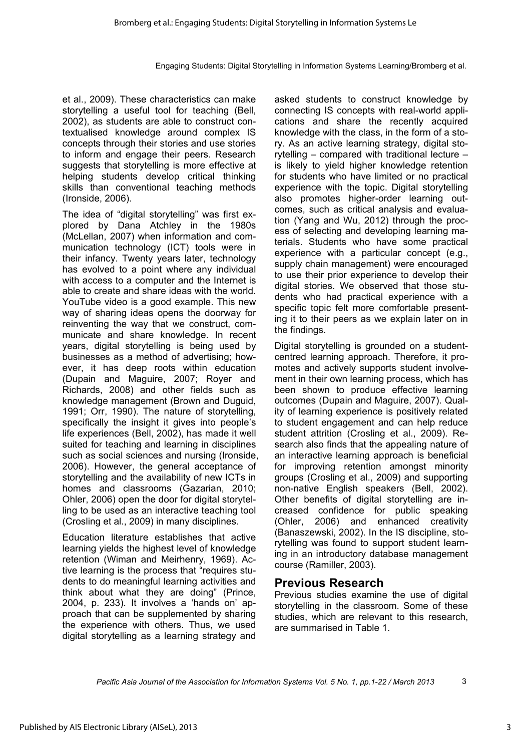et al., 2009). These characteristics can make storytelling a useful tool for teaching (Bell, 2002), as students are able to construct contextualised knowledge around complex IS concepts through their stories and use stories to inform and engage their peers. Research suggests that storytelling is more effective at helping students develop critical thinking skills than conventional teaching methods (Ironside, 2006).

The idea of "digital storytelling" was first explored by Dana Atchley in the 1980s (McLellan, 2007) when information and communication technology (ICT) tools were in their infancy. Twenty years later, technology has evolved to a point where any individual with access to a computer and the Internet is able to create and share ideas with the world. YouTube video is a good example. This new way of sharing ideas opens the doorway for reinventing the way that we construct, communicate and share knowledge. In recent years, digital storytelling is being used by businesses as a method of advertising; however, it has deep roots within education (Dupain and Maguire, 2007; Royer and Richards, 2008) and other fields such as knowledge management (Brown and Duguid, 1991; Orr, 1990). The nature of storytelling, specifically the insight it gives into people's life experiences (Bell, 2002), has made it well suited for teaching and learning in disciplines such as social sciences and nursing (Ironside, 2006). However, the general acceptance of storytelling and the availability of new ICTs in homes and classrooms (Gazarian, 2010; Ohler, 2006) open the door for digital storytelling to be used as an interactive teaching tool (Crosling et al., 2009) in many disciplines.

Education literature establishes that active learning yields the highest level of knowledge retention (Wiman and Meirhenry, 1969). Active learning is the process that "requires students to do meaningful learning activities and think about what they are doing" (Prince, 2004, p. 233). It involves a 'hands on' approach that can be supplemented by sharing the experience with others. Thus, we used digital storytelling as a learning strategy and

asked students to construct knowledge by connecting IS concepts with real-world applications and share the recently acquired knowledge with the class, in the form of a story. As an active learning strategy, digital storytelling – compared with traditional lecture – is likely to yield higher knowledge retention for students who have limited or no practical experience with the topic. Digital storytelling also promotes higher-order learning outcomes, such as critical analysis and evaluation (Yang and Wu, 2012) through the process of selecting and developing learning materials. Students who have some practical experience with a particular concept (e.g., supply chain management) were encouraged to use their prior experience to develop their digital stories. We observed that those students who had practical experience with a specific topic felt more comfortable presenting it to their peers as we explain later on in the findings. Engaging Students: Digital Storytelling in Information Systems Learning/Bromberg et al.<br>
haracteristics can make assked students to construct knowledge by<br>
a carcund complex is convecting (eds), connecting to consept with

Digital storytelling is grounded on a studentcentred learning approach. Therefore, it promotes and actively supports student involvement in their own learning process, which has been shown to produce effective learning outcomes (Dupain and Maguire, 2007). Quality of learning experience is positively related to student engagement and can help reduce student attrition (Crosling et al., 2009). Research also finds that the appealing nature of an interactive learning approach is beneficial for improving retention amongst minority groups (Crosling et al., 2009) and supporting non-native English speakers (Bell, 2002). Other benefits of digital storytelling are increased confidence for public speaking (Ohler, 2006) and enhanced creativity (Banaszewski, 2002). In the IS discipline, storytelling was found to support student learning in an introductory database management course (Ramiller, 2003).

#### **Previous Research**

Previous studies examine the use of digital storytelling in the classroom. Some of these studies, which are relevant to this research, are summarised in Table 1.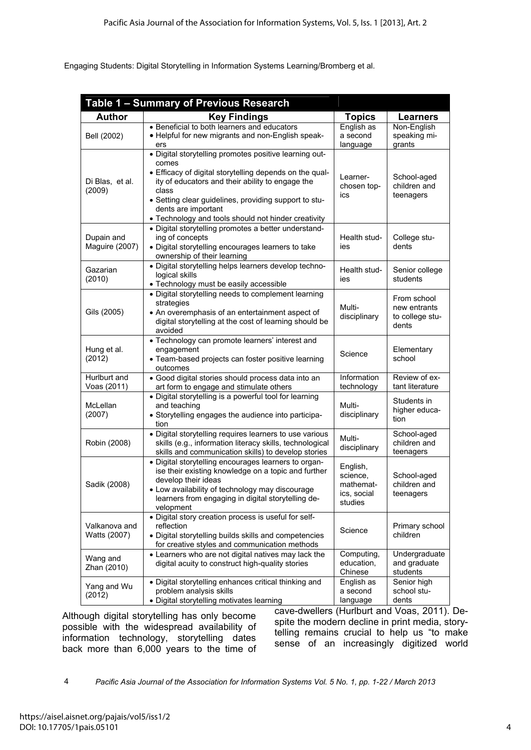| Table 1 - Summary of Previous Research                                                                                                                   |                                                                                                                                                                                                                                                                                                                                |                                                             |                                                         |  |  |
|----------------------------------------------------------------------------------------------------------------------------------------------------------|--------------------------------------------------------------------------------------------------------------------------------------------------------------------------------------------------------------------------------------------------------------------------------------------------------------------------------|-------------------------------------------------------------|---------------------------------------------------------|--|--|
| <b>Author</b>                                                                                                                                            | <b>Key Findings</b>                                                                                                                                                                                                                                                                                                            | <b>Topics</b>                                               | <b>Learners</b>                                         |  |  |
| Bell (2002)                                                                                                                                              | • Beneficial to both learners and educators<br>. Helpful for new migrants and non-English speak-<br>ers                                                                                                                                                                                                                        | English as<br>a second<br>language                          | Non-English<br>speaking mi-<br>grants                   |  |  |
| Di Blas, et al.<br>(2009)                                                                                                                                | · Digital storytelling promotes positive learning out-<br>comes<br>• Efficacy of digital storytelling depends on the qual-<br>ity of educators and their ability to engage the<br>class<br>• Setting clear guidelines, providing support to stu-<br>dents are important<br>• Technology and tools should not hinder creativity | Learner-<br>chosen top-<br>ics                              | School-aged<br>children and<br>teenagers                |  |  |
| Dupain and<br>Maguire (2007)                                                                                                                             | · Digital storytelling promotes a better understand-<br>ing of concepts<br>· Digital storytelling encourages learners to take<br>ownership of their learning                                                                                                                                                                   | Health stud-<br>ies                                         | College stu-<br>dents                                   |  |  |
| Gazarian<br>(2010)                                                                                                                                       | · Digital storytelling helps learners develop techno-<br>logical skills<br>• Technology must be easily accessible                                                                                                                                                                                                              | Health stud-<br>ies                                         | Senior college<br>students                              |  |  |
| Gils (2005)                                                                                                                                              | • Digital storytelling needs to complement learning<br>strategies<br>• An overemphasis of an entertainment aspect of<br>digital storytelling at the cost of learning should be<br>avoided                                                                                                                                      | Multi-<br>disciplinary                                      | From school<br>new entrants<br>to college stu-<br>dents |  |  |
| • Technology can promote learners' interest and<br>Hung et al.<br>engagement<br>(2012)<br>• Team-based projects can foster positive learning<br>outcomes |                                                                                                                                                                                                                                                                                                                                | Science                                                     | Elementary<br>school                                    |  |  |
| Hurlburt and<br>Voas (2011)                                                                                                                              | · Good digital stories should process data into an<br>art form to engage and stimulate others                                                                                                                                                                                                                                  | Information<br>technology                                   | Review of ex-<br>tant literature                        |  |  |
| McLellan<br>(2007)                                                                                                                                       | • Digital storytelling is a powerful tool for learning<br>and teaching<br>• Storytelling engages the audience into participa-<br>tion                                                                                                                                                                                          | Multi-<br>disciplinary                                      | Students in<br>higher educa-<br>tion                    |  |  |
| Robin (2008)                                                                                                                                             | · Digital storytelling requires learners to use various<br>skills (e.g., information literacy skills, technological<br>skills and communication skills) to develop stories                                                                                                                                                     | Multi-<br>disciplinary                                      | School-aged<br>children and<br>teenagers                |  |  |
| Sadik (2008)                                                                                                                                             | • Digital storytelling encourages learners to organ-<br>ise their existing knowledge on a topic and further<br>develop their ideas<br>• Low availability of technology may discourage<br>learners from engaging in digital storytelling de-<br>velopment                                                                       | English,<br>science,<br>mathemat-<br>ics, social<br>studies | School-aged<br>children and<br>teenagers                |  |  |
| Valkanova and<br>Watts (2007)                                                                                                                            | · Digital story creation process is useful for self-<br>reflection<br>• Digital storytelling builds skills and competencies<br>for creative styles and communication methods                                                                                                                                                   | Science                                                     | Primary school<br>children                              |  |  |
| • Learners who are not digital natives may lack the<br>Wang and<br>digital acuity to construct high-quality stories<br>Zhan (2010)                       |                                                                                                                                                                                                                                                                                                                                | Computing,<br>education,<br>Chinese                         | Undergraduate<br>and graduate<br>students               |  |  |
| Yang and Wu<br>(2012)                                                                                                                                    | · Digital storytelling enhances critical thinking and<br>problem analysis skills<br>• Digital storytelling motivates learning                                                                                                                                                                                                  | English as<br>a second<br>language                          | Senior high<br>school stu-<br>dents                     |  |  |

Although digital storytelling has only become possible with the widespread availability of information technology, storytelling dates back more than 6,000 years to the time of

cave-dwellers (Hurlburt and Voas, 2011). Despite the modern decline in print media, storytelling remains crucial to help us "to make sense of an increasingly digitized world

4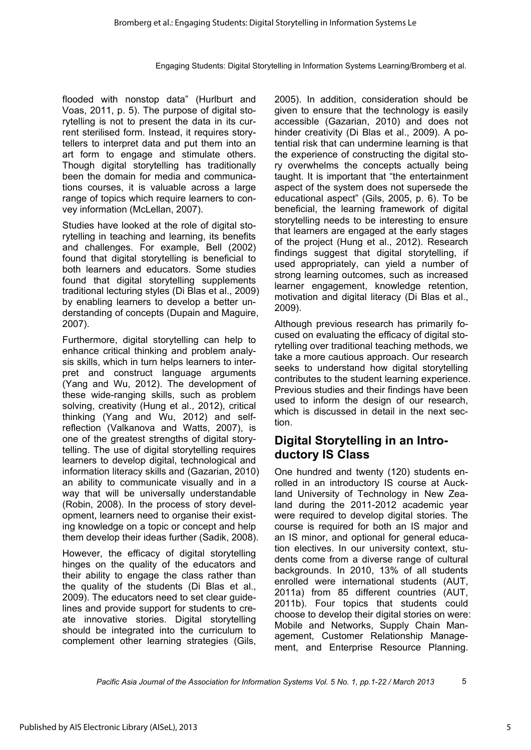flooded with nonstop data" (Hurlburt and Voas, 2011, p. 5). The purpose of digital storytelling is not to present the data in its current sterilised form. Instead, it requires storytellers to interpret data and put them into an art form to engage and stimulate others. Though digital storytelling has traditionally been the domain for media and communications courses, it is valuable across a large range of topics which require learners to convey information (McLellan, 2007).

Studies have looked at the role of digital storytelling in teaching and learning, its benefits and challenges. For example, Bell (2002) found that digital storytelling is beneficial to both learners and educators. Some studies found that digital storytelling supplements traditional lecturing styles (Di Blas et al., 2009) by enabling learners to develop a better understanding of concepts (Dupain and Maguire, 2007).

Furthermore, digital storytelling can help to enhance critical thinking and problem analysis skills, which in turn helps learners to interpret and construct language arguments (Yang and Wu, 2012). The development of these wide-ranging skills, such as problem solving, creativity (Hung et al., 2012), critical thinking (Yang and Wu, 2012) and selfreflection (Valkanova and Watts, 2007), is one of the greatest strengths of digital storytelling. The use of digital storytelling requires learners to develop digital, technological and information literacy skills and (Gazarian, 2010) an ability to communicate visually and in a way that will be universally understandable (Robin, 2008). In the process of story development, learners need to organise their existing knowledge on a topic or concept and help them develop their ideas further (Sadik, 2008).

However, the efficacy of digital storytelling hinges on the quality of the educators and their ability to engage the class rather than the quality of the students (Di Blas et al., 2009). The educators need to set clear guidelines and provide support for students to create innovative stories. Digital storytelling should be integrated into the curriculum to complement other learning strategies (Gils,

2005). In addition, consideration should be given to ensure that the technology is easily accessible (Gazarian, 2010) and does not hinder creativity (Di Blas et al., 2009). A potential risk that can undermine learning is that the experience of constructing the digital story overwhelms the concepts actually being taught. It is important that "the entertainment aspect of the system does not supersede the educational aspect" (Gils, 2005, p. 6). To be beneficial, the learning framework of digital storytelling needs to be interesting to ensure that learners are engaged at the early stages of the project (Hung et al., 2012). Research findings suggest that digital storytelling, if used appropriately, can yield a number of strong learning outcomes, such as increased learner engagement, knowledge retention, motivation and digital literacy (Di Blas et al., 2009). Engaging Students: Digital Storytelling in Information Systems Learning/Bromberg et al.<br>
2013 data" (Hurlburt and<br>
2005). In addition, consideration should be<br>
proposed digital sion.<br>
Startschief and the method information

Although previous research has primarily focused on evaluating the efficacy of digital storytelling over traditional teaching methods, we take a more cautious approach. Our research seeks to understand how digital storytelling contributes to the student learning experience. Previous studies and their findings have been used to inform the design of our research, which is discussed in detail in the next section.

## **Digital Storytelling in an Introductory IS Class**

One hundred and twenty (120) students enrolled in an introductory IS course at Auckland University of Technology in New Zealand during the 2011-2012 academic year were required to develop digital stories. The course is required for both an IS major and an IS minor, and optional for general education electives. In our university context, students come from a diverse range of cultural backgrounds. In 2010, 13% of all students enrolled were international students (AUT, 2011a) from 85 different countries (AUT, 2011b). Four topics that students could choose to develop their digital stories on were: Mobile and Networks, Supply Chain Management, Customer Relationship Management, and Enterprise Resource Planning.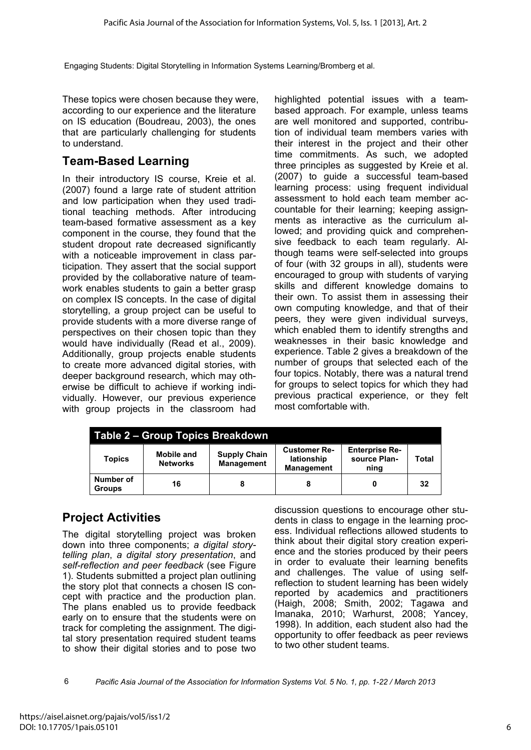These topics were chosen because they were, according to our experience and the literature on IS education (Boudreau, 2003), the ones that are particularly challenging for students to understand.

## **Team-Based Learning**

In their introductory IS course, Kreie et al. (2007) found a large rate of student attrition and low participation when they used traditional teaching methods. After introducing team-based formative assessment as a key component in the course, they found that the student dropout rate decreased significantly with a noticeable improvement in class participation. They assert that the social support provided by the collaborative nature of teamwork enables students to gain a better grasp on complex IS concepts. In the case of digital storytelling, a group project can be useful to provide students with a more diverse range of perspectives on their chosen topic than they would have individually (Read et al., 2009). Additionally, group projects enable students to create more advanced digital stories, with deeper background research, which may otherwise be difficult to achieve if working individually. However, our previous experience with group projects in the classroom had

highlighted potential issues with a teambased approach. For example, unless teams are well monitored and supported, contribution of individual team members varies with their interest in the project and their other time commitments. As such, we adopted three principles as suggested by Kreie et al. (2007) to guide a successful team-based learning process: using frequent individual assessment to hold each team member accountable for their learning; keeping assignments as interactive as the curriculum allowed; and providing quick and comprehensive feedback to each team regularly. Although teams were self-selected into groups of four (with 32 groups in all), students were encouraged to group with students of varying skills and different knowledge domains to their own. To assist them in assessing their own computing knowledge, and that of their peers, they were given individual surveys, which enabled them to identify strengths and weaknesses in their basic knowledge and experience. Table 2 gives a breakdown of the number of groups that selected each of the four topics. Notably, there was a natural trend for groups to select topics for which they had previous practical experience, or they felt most comfortable with.

| Table 2 – Group Topics Breakdown |                               |                                          |                                                        |                                               |       |
|----------------------------------|-------------------------------|------------------------------------------|--------------------------------------------------------|-----------------------------------------------|-------|
| <b>Topics</b>                    | Mobile and<br><b>Networks</b> | <b>Supply Chain</b><br><b>Management</b> | <b>Customer Re-</b><br>lationship<br><b>Management</b> | <b>Enterprise Re-</b><br>source Plan-<br>ning | Total |
| Number of<br><b>Groups</b>       | 16                            |                                          |                                                        |                                               | 32    |

## **Project Activities**

The digital storytelling project was broken down into three components; *a digital storytelling plan*, *a digital story presentation*, and *self-reflection and peer feedback* (see Figure 1). Students submitted a project plan outlining the story plot that connects a chosen IS concept with practice and the production plan. The plans enabled us to provide feedback early on to ensure that the students were on track for completing the assignment. The digital story presentation required student teams to show their digital stories and to pose two discussion questions to encourage other students in class to engage in the learning process. Individual reflections allowed students to think about their digital story creation experience and the stories produced by their peers in order to evaluate their learning benefits and challenges. The value of using selfreflection to student learning has been widely reported by academics and practitioners (Haigh, 2008; Smith, 2002; Tagawa and Imanaka, 2010; Warhurst, 2008; Yancey, 1998). In addition, each student also had the opportunity to offer feedback as peer reviews to two other student teams.

6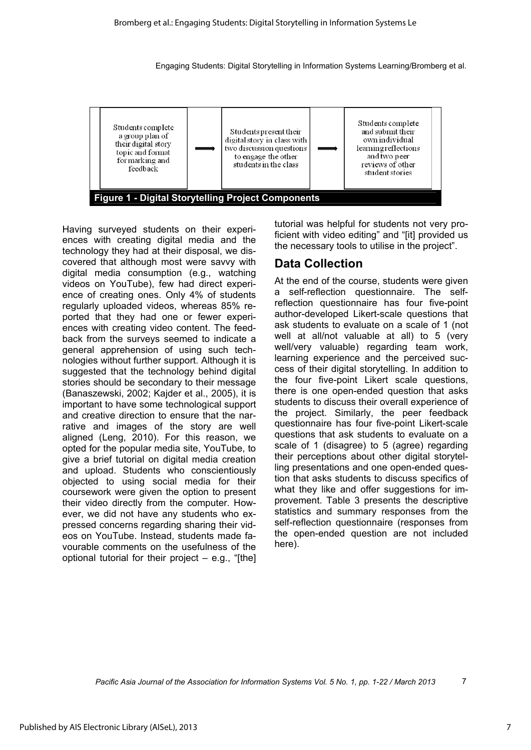

Having surveyed students on their experiences with creating digital media and the technology they had at their disposal, we discovered that although most were savvy with digital media consumption (e.g., watching videos on YouTube), few had direct experience of creating ones. Only 4% of students regularly uploaded videos, whereas 85% reported that they had one or fewer experiences with creating video content. The feedback from the surveys seemed to indicate a general apprehension of using such technologies without further support. Although it is suggested that the technology behind digital stories should be secondary to their message (Banaszewski, 2002; Kajder et al., 2005), it is important to have some technological support and creative direction to ensure that the narrative and images of the story are well aligned (Leng, 2010). For this reason, we opted for the popular media site, YouTube, to give a brief tutorial on digital media creation and upload. Students who conscientiously objected to using social media for their coursework were given the option to present their video directly from the computer. However, we did not have any students who expressed concerns regarding sharing their videos on YouTube. Instead, students made favourable comments on the usefulness of the optional tutorial for their project  $-$  e.g., "[the]

tutorial was helpful for students not very proficient with video editing" and "[it] provided us the necessary tools to utilise in the project".

## **Data Collection**

At the end of the course, students were given a self-reflection questionnaire. The selfreflection questionnaire has four five-point author-developed Likert-scale questions that ask students to evaluate on a scale of 1 (not well at all/not valuable at all) to 5 (very well/very valuable) regarding team work, learning experience and the perceived success of their digital storytelling. In addition to the four five-point Likert scale questions, there is one open-ended question that asks students to discuss their overall experience of the project. Similarly, the peer feedback questionnaire has four five-point Likert-scale questions that ask students to evaluate on a scale of 1 (disagree) to 5 (agree) regarding their perceptions about other digital storytelling presentations and one open-ended question that asks students to discuss specifics of what they like and offer suggestions for improvement. Table 3 presents the descriptive statistics and summary responses from the self-reflection questionnaire (responses from the open-ended question are not included here). Engaging Students: Digital Storytelling in Information Systems Learning/Bromberg et al.<br>
with the student of the control of the control of the control of the control of the control of the control of the control of the cont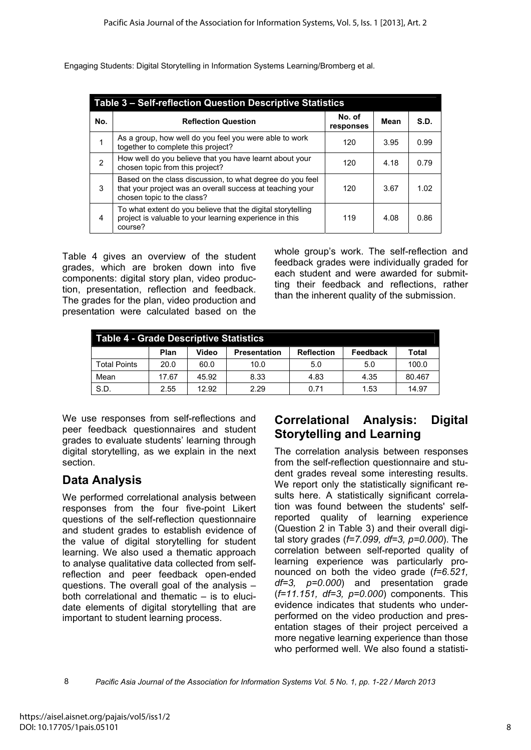|     | Table 3 - Self-reflection Question Descriptive Statistics                                                                                            |                     |      |      |  |
|-----|------------------------------------------------------------------------------------------------------------------------------------------------------|---------------------|------|------|--|
| No. | <b>Reflection Question</b>                                                                                                                           | No. of<br>responses | Mean | S.D. |  |
| 1   | As a group, how well do you feel you were able to work<br>together to complete this project?                                                         | 120                 | 3.95 | 0.99 |  |
| 2   | How well do you believe that you have learnt about your<br>chosen topic from this project?                                                           | 120                 | 4.18 | 0.79 |  |
| 3   | Based on the class discussion, to what degree do you feel<br>that your project was an overall success at teaching your<br>chosen topic to the class? | 120                 | 3.67 | 1.02 |  |
| 4   | To what extent do you believe that the digital storytelling<br>project is valuable to your learning experience in this<br>course?                    | 119                 | 4.08 | 0.86 |  |

Table 4 gives an overview of the student grades, which are broken down into five components: digital story plan, video production, presentation, reflection and feedback. The grades for the plan, video production and presentation were calculated based on the

whole group's work. The self-reflection and feedback grades were individually graded for each student and were awarded for submitting their feedback and reflections, rather than the inherent quality of the submission.

| Table 4 - Grade Descriptive Statistics |       |       |                     |                   |          |        |
|----------------------------------------|-------|-------|---------------------|-------------------|----------|--------|
|                                        | Plan  | Video | <b>Presentation</b> | <b>Reflection</b> | Feedback | Total  |
| <b>Total Points</b>                    | 20.0  | 60.0  | 10.0                | 5.0               | 5.0      | 100.0  |
| Mean                                   | 17.67 | 45.92 | 8.33                | 4.83              | 4.35     | 80.467 |
| S.D.                                   | 2.55  | 12.92 | 2.29                | 0.71              | 1.53     | 14.97  |

We use responses from self-reflections and peer feedback questionnaires and student grades to evaluate students' learning through digital storytelling, as we explain in the next section.

## **Data Analysis**

We performed correlational analysis between responses from the four five-point Likert questions of the self-reflection questionnaire and student grades to establish evidence of the value of digital storytelling for student learning. We also used a thematic approach to analyse qualitative data collected from selfreflection and peer feedback open-ended questions. The overall goal of the analysis – both correlational and thematic – is to elucidate elements of digital storytelling that are important to student learning process.

## **Correlational Analysis: Digital Storytelling and Learning**

The correlation analysis between responses from the self-reflection questionnaire and student grades reveal some interesting results. We report only the statistically significant results here. A statistically significant correlation was found between the students' selfreported quality of learning experience (Question 2 in Table 3) and their overall digital story grades (*f=7.099, df=3, p=0.000*). The correlation between self-reported quality of learning experience was particularly pronounced on both the video grade (*f=6.521, df=3, p=0.000*) and presentation grade (*f=11.151, df=3, p=0.000*) components. This evidence indicates that students who underperformed on the video production and presentation stages of their project perceived a more negative learning experience than those who performed well. We also found a statisti-

*Pacific Asia Journal of the Association for Information Systems Vol. 5 No. 1, pp. 1-22 / March 2013*

8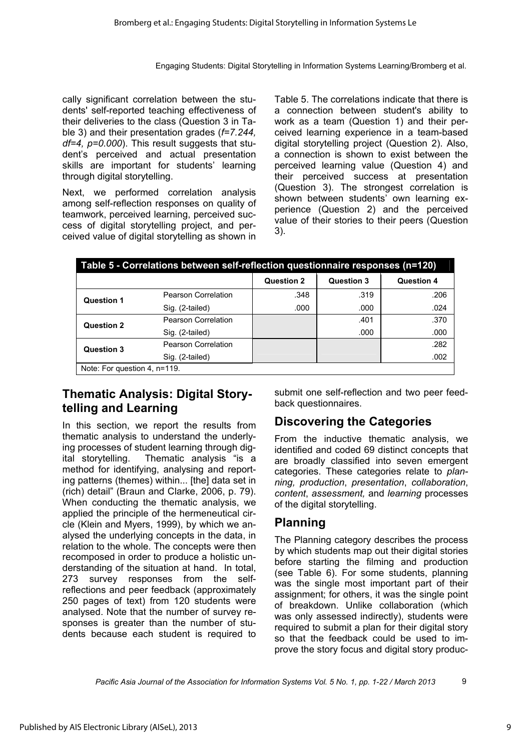cally significant correlation between the students' self-reported teaching effectiveness of their deliveries to the class (Question 3 in Table 3) and their presentation grades (*f=7.244, df=4, p=0.000*). This result suggests that student's perceived and actual presentation skills are important for students' learning through digital storytelling.

Next, we performed correlation analysis among self-reflection responses on quality of teamwork, perceived learning, perceived success of digital storytelling project, and perceived value of digital storytelling as shown in

|                                                       | Engaging Students: Digital Storytelling in Information Systems Learning/Bromberg et al.                                                                                                                                                                                                                                                                                                                                                                                                                                                                                                                                                                                                                                                                                                                                                                                                                                                                            |                   |                                                                                           |                                                                                                                                                                                                                                                                                                                                                                                                                                                                                                                                                                                                                                                                                                                                                                                                                                       |
|-------------------------------------------------------|--------------------------------------------------------------------------------------------------------------------------------------------------------------------------------------------------------------------------------------------------------------------------------------------------------------------------------------------------------------------------------------------------------------------------------------------------------------------------------------------------------------------------------------------------------------------------------------------------------------------------------------------------------------------------------------------------------------------------------------------------------------------------------------------------------------------------------------------------------------------------------------------------------------------------------------------------------------------|-------------------|-------------------------------------------------------------------------------------------|---------------------------------------------------------------------------------------------------------------------------------------------------------------------------------------------------------------------------------------------------------------------------------------------------------------------------------------------------------------------------------------------------------------------------------------------------------------------------------------------------------------------------------------------------------------------------------------------------------------------------------------------------------------------------------------------------------------------------------------------------------------------------------------------------------------------------------------|
| ough digital storytelling.                            | lly significant correlation between the stu-<br>nts' self-reported teaching effectiveness of<br>eir deliveries to the class (Question 3 in Ta-<br>e 3) and their presentation grades (f=7.244,<br>=4, p=0.000). This result suggests that stu-<br>nt's perceived and actual presentation<br>ills are important for students' learning<br>ext, we performed correlation analysis<br>nong self-reflection responses on quality of<br>amwork, perceived learning, perceived suc-<br>ss of digital storytelling project, and per-<br>ived value of digital storytelling as shown in                                                                                                                                                                                                                                                                                                                                                                                    | 3).               |                                                                                           | Table 5. The correlations indicate that there is<br>a connection between student's ability to<br>work as a team (Question 1) and their per-<br>ceived learning experience in a team-based<br>digital storytelling project (Question 2). Also<br>a connection is shown to exist between the<br>perceived learning value (Question 4) and<br>their perceived success at presentation<br>(Question 3). The strongest correlation is<br>shown between students' own learning ex-<br>perience (Question 2) and the perceived<br>value of their stories to their peers (Question                                                                                                                                                                                                                                                            |
|                                                       | Table 5 - Correlations between self-reflection questionnaire responses (n=120)                                                                                                                                                                                                                                                                                                                                                                                                                                                                                                                                                                                                                                                                                                                                                                                                                                                                                     |                   |                                                                                           |                                                                                                                                                                                                                                                                                                                                                                                                                                                                                                                                                                                                                                                                                                                                                                                                                                       |
|                                                       | <b>Pearson Correlation</b>                                                                                                                                                                                                                                                                                                                                                                                                                                                                                                                                                                                                                                                                                                                                                                                                                                                                                                                                         | <b>Question 2</b> | <b>Question 3</b>                                                                         | <b>Question 4</b>                                                                                                                                                                                                                                                                                                                                                                                                                                                                                                                                                                                                                                                                                                                                                                                                                     |
| <b>Question 1</b>                                     |                                                                                                                                                                                                                                                                                                                                                                                                                                                                                                                                                                                                                                                                                                                                                                                                                                                                                                                                                                    | .348<br>.000      | .319<br>.000                                                                              | .206<br>.024                                                                                                                                                                                                                                                                                                                                                                                                                                                                                                                                                                                                                                                                                                                                                                                                                          |
|                                                       | Sig. (2-tailed)<br><b>Pearson Correlation</b>                                                                                                                                                                                                                                                                                                                                                                                                                                                                                                                                                                                                                                                                                                                                                                                                                                                                                                                      |                   | .401                                                                                      | .370                                                                                                                                                                                                                                                                                                                                                                                                                                                                                                                                                                                                                                                                                                                                                                                                                                  |
| <b>Question 2</b>                                     | Sig. (2-tailed)                                                                                                                                                                                                                                                                                                                                                                                                                                                                                                                                                                                                                                                                                                                                                                                                                                                                                                                                                    |                   | .000                                                                                      | .000                                                                                                                                                                                                                                                                                                                                                                                                                                                                                                                                                                                                                                                                                                                                                                                                                                  |
|                                                       | <b>Pearson Correlation</b>                                                                                                                                                                                                                                                                                                                                                                                                                                                                                                                                                                                                                                                                                                                                                                                                                                                                                                                                         |                   |                                                                                           | .282                                                                                                                                                                                                                                                                                                                                                                                                                                                                                                                                                                                                                                                                                                                                                                                                                                  |
| <b>Question 3</b>                                     | Sig. (2-tailed)                                                                                                                                                                                                                                                                                                                                                                                                                                                                                                                                                                                                                                                                                                                                                                                                                                                                                                                                                    |                   |                                                                                           | .002                                                                                                                                                                                                                                                                                                                                                                                                                                                                                                                                                                                                                                                                                                                                                                                                                                  |
| <b>Iling and Learning</b><br>l storytelling.<br>$3 -$ | hematic Analysis: Digital Story-<br>this section, we report the results from<br>ematic analysis to understand the underly-<br>g processes of student learning through dig-<br>Thematic analysis "is a<br>ethod for identifying, analysing and report-<br>g patterns (themes) within [the] data set in<br>ch) detail" (Braun and Clarke, 2006, p. 79).<br>hen conducting the thematic analysis, we<br>plied the principle of the hermeneutical cir-<br>e (Klein and Myers, 1999), by which we an-<br>sed the underlying concepts in the data, in<br>ation to the whole. The concepts were then<br>composed in order to produce a holistic un-<br>rstanding of the situation at hand. In total,<br>survey responses from the<br>self-<br>flections and peer feedback (approximately<br>0 pages of text) from 120 students were<br>alysed. Note that the number of survey re-<br>onses is greater than the number of stu-<br>ints because each student is required to | <b>Planning</b>   | back questionnaires.<br><b>Discovering the Categories</b><br>of the digital storytelling. | From the inductive thematic analysis, we<br>identified and coded 69 distinct concepts tha<br>are broadly classified into seven emergen<br>categories. These categories relate to plan<br>ning, production, presentation, collaboration<br>content, assessment, and learning processes<br>The Planning category describes the process<br>by which students map out their digital stories<br>before starting the filming and productior<br>(see Table 6). For some students, planning<br>was the single most important part of thei<br>assignment; for others, it was the single poin<br>of breakdown. Unlike collaboration (which<br>was only assessed indirectly), students were<br>required to submit a plan for their digital story<br>so that the feedback could be used to im-<br>prove the story focus and digital story produc- |
|                                                       | Pacific Asia Journal of the Association for Information Systems Vol. 5 No. 1, pp. 1-22 / March 2013                                                                                                                                                                                                                                                                                                                                                                                                                                                                                                                                                                                                                                                                                                                                                                                                                                                                |                   |                                                                                           | 9                                                                                                                                                                                                                                                                                                                                                                                                                                                                                                                                                                                                                                                                                                                                                                                                                                     |

## **Thematic Analysis: Digital Storytelling and Learning**

In this section, we report the results from thematic analysis to understand the underlying processes of student learning through digital storytelling. Thematic analysis "is a method for identifying, analysing and reporting patterns (themes) within... [the] data set in (rich) detail" (Braun and Clarke, 2006, p. 79). When conducting the thematic analysis, we applied the principle of the hermeneutical circle (Klein and Myers, 1999), by which we analysed the underlying concepts in the data, in relation to the whole. The concepts were then recomposed in order to produce a holistic understanding of the situation at hand. In total, 273 survey responses from the selfreflections and peer feedback (approximately 250 pages of text) from 120 students were analysed. Note that the number of survey responses is greater than the number of students because each student is required to

## **Discovering the Categories**

## **Planning**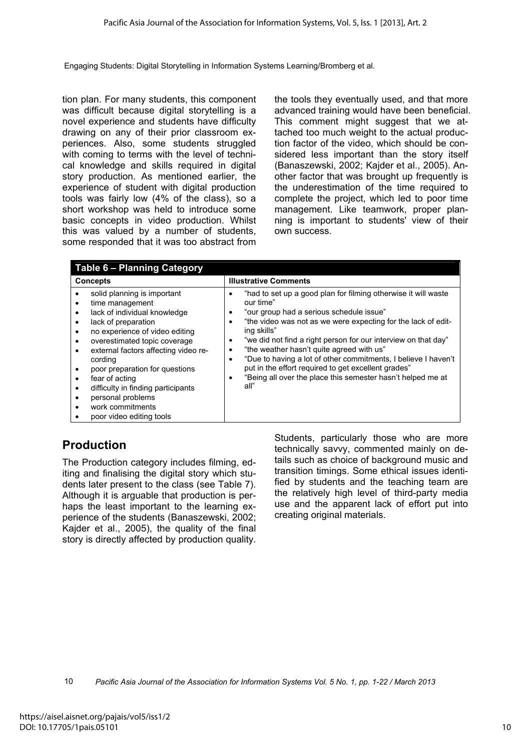tion plan. For many students, this component was difficult because digital storytelling is a novel experience and students have difficulty drawing on any of their prior classroom experiences. Also, some students struggled with coming to terms with the level of technical knowledge and skills required in digital story production. As mentioned earlier, the experience of student with digital production tools was fairly low (4% of the class), so a short workshop was held to introduce some basic concepts in video production. Whilst this was valued by a number of students, some responded that it was too abstract from

the tools they eventually used, and that more advanced training would have been beneficial. This comment might suggest that we attached too much weight to the actual production factor of the video, which should be considered less important than the story itself (Banaszewski, 2002; Kajder et al., 2005). Another factor that was brought up frequently is the underestimation of the time required to complete the project, which led to poor time management. Like teamwork, proper planning is important to students' view of their own success.

| Table 6 – Planning Category                                                                                                                                                                                                                                                                                                                                                                                   |                                                                                                                                                                                                                                                                                                                                                                                                                                                                                                                                                      |  |  |
|---------------------------------------------------------------------------------------------------------------------------------------------------------------------------------------------------------------------------------------------------------------------------------------------------------------------------------------------------------------------------------------------------------------|------------------------------------------------------------------------------------------------------------------------------------------------------------------------------------------------------------------------------------------------------------------------------------------------------------------------------------------------------------------------------------------------------------------------------------------------------------------------------------------------------------------------------------------------------|--|--|
| <b>Concepts</b>                                                                                                                                                                                                                                                                                                                                                                                               | <b>Illustrative Comments</b>                                                                                                                                                                                                                                                                                                                                                                                                                                                                                                                         |  |  |
| solid planning is important<br>time management<br>lack of individual knowledge<br>٠<br>lack of preparation<br>٠<br>no experience of video editing<br>overestimated topic coverage<br>٠<br>external factors affecting video re-<br>cording<br>poor preparation for questions<br>fear of acting<br>difficulty in finding participants<br>personal problems<br>work commitments<br>٠<br>poor video editing tools | "had to set up a good plan for filming otherwise it will waste<br>٠<br>our time"<br>"our group had a serious schedule issue"<br>"the video was not as we were expecting for the lack of edit-<br>٠<br>ing skills"<br>"we did not find a right person for our interview on that day"<br>٠<br>"the weather hasn't quite agreed with us"<br>٠<br>"Due to having a lot of other commitments, I believe I haven't<br>٠<br>put in the effort required to get excellent grades"<br>"Being all over the place this semester hasn't helped me at<br>٠<br>all" |  |  |

## **Production**

The Production category includes filming, editing and finalising the digital story which students later present to the class (see Table 7). Although it is arguable that production is perhaps the least important to the learning experience of the students (Banaszewski, 2002; Kajder et al., 2005), the quality of the final story is directly affected by production quality.

Students, particularly those who are more technically savvy, commented mainly on details such as choice of background music and transition timings. Some ethical issues identified by students and the teaching team are the relatively high level of third-party media use and the apparent lack of effort put into creating original materials.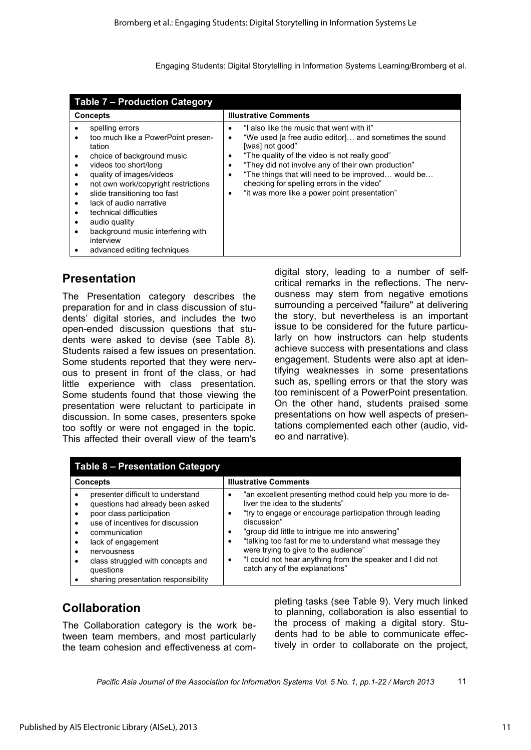| <b>Table 7 - Production Category</b>                                                                                                                                                                                                                                                                                                                                                          |                                                                                                                                                                                                                                                                                                                                                                                                             |  |  |
|-----------------------------------------------------------------------------------------------------------------------------------------------------------------------------------------------------------------------------------------------------------------------------------------------------------------------------------------------------------------------------------------------|-------------------------------------------------------------------------------------------------------------------------------------------------------------------------------------------------------------------------------------------------------------------------------------------------------------------------------------------------------------------------------------------------------------|--|--|
| <b>Concepts</b>                                                                                                                                                                                                                                                                                                                                                                               | <b>Illustrative Comments</b>                                                                                                                                                                                                                                                                                                                                                                                |  |  |
| spelling errors<br>too much like a PowerPoint presen-<br>$\bullet$<br>tation<br>choice of background music<br>videos too short/long<br>quality of images/videos<br>not own work/copyright restrictions<br>slide transitioning too fast<br>lack of audio narrative<br>technical difficulties<br>audio quality<br>background music interfering with<br>interview<br>advanced editing techniques | "I also like the music that went with it"<br>٠<br>"We used [a free audio editor] and sometimes the sound<br>٠<br>[was] not good"<br>"The quality of the video is not really good"<br>٠<br>"They did not involve any of their own production"<br>"The things that will need to be improved would be<br>٠<br>checking for spelling errors in the video"<br>"it was more like a power point presentation"<br>٠ |  |  |

### **Presentation**

The Presentation category describes the preparation for and in class discussion of students' digital stories, and includes the two open-ended discussion questions that students were asked to devise (see Table 8). Students raised a few issues on presentation. Some students reported that they were nervous to present in front of the class, or had little experience with class presentation. Some students found that those viewing the presentation were reluctant to participate in discussion. In some cases, presenters spoke too softly or were not engaged in the topic. This affected their overall view of the team's

digital story, leading to a number of selfcritical remarks in the reflections. The nervousness may stem from negative emotions surrounding a perceived "failure" at delivering the story, but nevertheless is an important issue to be considered for the future particularly on how instructors can help students achieve success with presentations and class engagement. Students were also apt at identifying weaknesses in some presentations such as, spelling errors or that the story was too reminiscent of a PowerPoint presentation. On the other hand, students praised some presentations on how well aspects of presentations complemented each other (audio, video and narrative).

| Table 8 - Presentation Category                                                                                                                                                                                                                                                      |                                                                                                                                                                                                                                                                                                                                                                                                                                                 |  |  |
|--------------------------------------------------------------------------------------------------------------------------------------------------------------------------------------------------------------------------------------------------------------------------------------|-------------------------------------------------------------------------------------------------------------------------------------------------------------------------------------------------------------------------------------------------------------------------------------------------------------------------------------------------------------------------------------------------------------------------------------------------|--|--|
| <b>Concepts</b>                                                                                                                                                                                                                                                                      | <b>Illustrative Comments</b>                                                                                                                                                                                                                                                                                                                                                                                                                    |  |  |
| presenter difficult to understand<br>questions had already been asked<br>poor class participation<br>use of incentives for discussion<br>communication<br>lack of engagement<br>nervousness<br>class struggled with concepts and<br>questions<br>sharing presentation responsibility | "an excellent presenting method could help you more to de-<br>٠<br>liver the idea to the students"<br>"try to engage or encourage participation through leading<br>٠<br>discussion"<br>"group did little to intrigue me into answering"<br>"talking too fast for me to understand what message they<br>were trying to give to the audience"<br>"I could not hear anything from the speaker and I did not<br>٠<br>catch any of the explanations" |  |  |

## **Collaboration**

The Collaboration category is the work between team members, and most particularly the team cohesion and effectiveness at completing tasks (see Table 9). Very much linked to planning, collaboration is also essential to the process of making a digital story. Students had to be able to communicate effectively in order to collaborate on the project,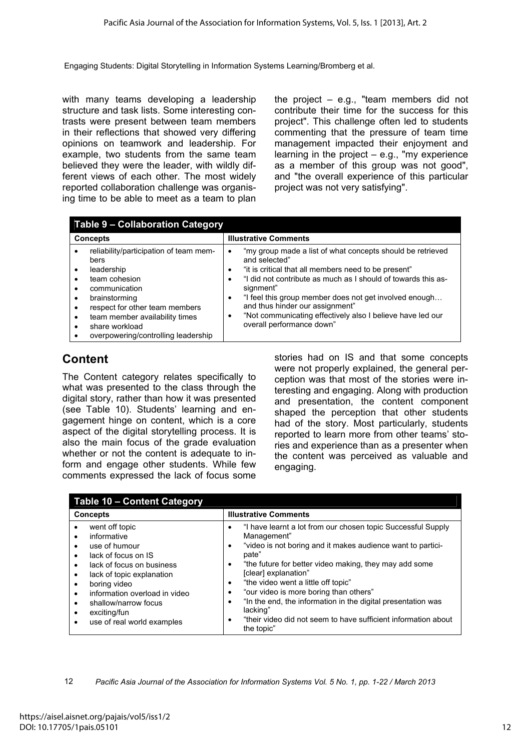with many teams developing a leadership structure and task lists. Some interesting contrasts were present between team members in their reflections that showed very differing opinions on teamwork and leadership. For example, two students from the same team believed they were the leader, with wildly different views of each other. The most widely reported collaboration challenge was organising time to be able to meet as a team to plan

the project  $-$  e.g., "team members did not contribute their time for the success for this project". This challenge often led to students commenting that the pressure of team time management impacted their enjoyment and learning in the project  $-$  e.g., "my experience as a member of this group was not good", and "the overall experience of this particular project was not very satisfying".

| <b>Table 9 - Collaboration Category</b>                                                                                                                                                                                                                                                                                                 |                                                                                                                                                                                                                                                                                                                                                                                                                        |  |  |
|-----------------------------------------------------------------------------------------------------------------------------------------------------------------------------------------------------------------------------------------------------------------------------------------------------------------------------------------|------------------------------------------------------------------------------------------------------------------------------------------------------------------------------------------------------------------------------------------------------------------------------------------------------------------------------------------------------------------------------------------------------------------------|--|--|
| <b>Concepts</b>                                                                                                                                                                                                                                                                                                                         | <b>Illustrative Comments</b>                                                                                                                                                                                                                                                                                                                                                                                           |  |  |
| reliability/participation of team mem-<br>bers<br>leadership<br>$\bullet$<br>team cohesion<br>$\bullet$<br>communication<br>$\bullet$<br>brainstorming<br>$\bullet$<br>respect for other team members<br>$\bullet$<br>team member availability times<br>$\bullet$<br>share workload<br>$\bullet$<br>overpowering/controlling leadership | "my group made a list of what concepts should be retrieved<br>$\bullet$<br>and selected"<br>"it is critical that all members need to be present"<br>"I did not contribute as much as I should of towards this as-<br>signment"<br>"I feel this group member does not get involved enough<br>and thus hinder our assignment"<br>"Not communicating effectively also I believe have led our<br>overall performance down" |  |  |

## **Content**

The Content category relates specifically to what was presented to the class through the digital story, rather than how it was presented (see Table 10). Students' learning and engagement hinge on content, which is a core aspect of the digital storytelling process. It is also the main focus of the grade evaluation whether or not the content is adequate to inform and engage other students. While few comments expressed the lack of focus some

stories had on IS and that some concepts were not properly explained, the general perception was that most of the stories were interesting and engaging. Along with production and presentation, the content component shaped the perception that other students had of the story. Most particularly, students reported to learn more from other teams' stories and experience than as a presenter when the content was perceived as valuable and engaging.

| <b>Table 10 - Content Category</b>                                                                                                                                                                                                                                                                                                               |                                                                                                                                                                                                                                                                                                                                                                                                                                                                                                                                       |  |  |
|--------------------------------------------------------------------------------------------------------------------------------------------------------------------------------------------------------------------------------------------------------------------------------------------------------------------------------------------------|---------------------------------------------------------------------------------------------------------------------------------------------------------------------------------------------------------------------------------------------------------------------------------------------------------------------------------------------------------------------------------------------------------------------------------------------------------------------------------------------------------------------------------------|--|--|
| <b>Concepts</b>                                                                                                                                                                                                                                                                                                                                  | <b>Illustrative Comments</b>                                                                                                                                                                                                                                                                                                                                                                                                                                                                                                          |  |  |
| went off topic<br>٠<br>informative<br>٠<br>use of humour<br>$\bullet$<br>lack of focus on IS<br>lack of focus on business<br>$\bullet$<br>lack of topic explanation<br>٠<br>boring video<br>٠<br>information overload in video<br>$\bullet$<br>shallow/narrow focus<br>$\bullet$<br>exciting/fun<br>$\bullet$<br>use of real world examples<br>٠ | "I have learnt a lot from our chosen topic Successful Supply<br>٠<br>Management"<br>"video is not boring and it makes audience want to partici-<br>٠<br>pate"<br>"the future for better video making, they may add some<br>$\bullet$<br>[clear] explanation"<br>"the video went a little off topic"<br>٠<br>"our video is more boring than others"<br>$\bullet$<br>"In the end, the information in the digital presentation was<br>٠<br>lacking"<br>"their video did not seem to have sufficient information about<br>٠<br>the topic" |  |  |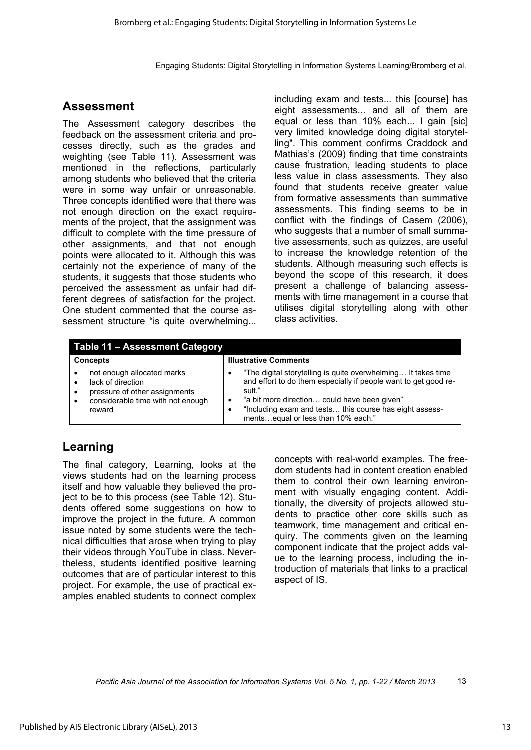### **Assessment**

The Assessment category describes the feedback on the assessment criteria and processes directly, such as the grades and weighting (see Table 11). Assessment was mentioned in the reflections, particularly among students who believed that the criteria were in some way unfair or unreasonable. Three concepts identified were that there was not enough direction on the exact requirements of the project, that the assignment was difficult to complete with the time pressure of other assignments, and that not enough points were allocated to it. Although this was certainly not the experience of many of the students, it suggests that those students who perceived the assessment as unfair had different degrees of satisfaction for the project. One student commented that the course assessment structure "is quite overwhelming... including exam and tests... this [course] has eight assessments... and all of them are equal or less than 10% each... I gain [sic] very limited knowledge doing digital storytelling". This comment confirms Craddock and Mathias's (2009) finding that time constraints cause frustration, leading students to place less value in class assessments. They also found that students receive greater value from formative assessments than summative assessments. This finding seems to be in conflict with the findings of Casem (2006), who suggests that a number of small summative assessments, such as quizzes, are useful to increase the knowledge retention of the students. Although measuring such effects is beyond the scope of this research, it does present a challenge of balancing assessments with time management in a course that utilises digital storytelling along with other class activities.

| Table 11 - Assessment Category                                                                                                  |                                                                                                                                                                                                                                                                                                           |  |  |
|---------------------------------------------------------------------------------------------------------------------------------|-----------------------------------------------------------------------------------------------------------------------------------------------------------------------------------------------------------------------------------------------------------------------------------------------------------|--|--|
| <b>Concepts</b>                                                                                                                 | <b>Illustrative Comments</b>                                                                                                                                                                                                                                                                              |  |  |
| not enough allocated marks<br>lack of direction<br>pressure of other assignments<br>considerable time with not enough<br>reward | "The digital storytelling is quite overwhelming It takes time<br>and effort to do them especially if people want to get good re-<br>sult."<br>"a bit more direction could have been given"<br>$\bullet$<br>"Including exam and tests this course has eight assess-<br>ments equal or less than 10% each." |  |  |

## **Learning**

The final category, Learning, looks at the views students had on the learning process itself and how valuable they believed the project to be to this process (see Table 12). Students offered some suggestions on how to improve the project in the future. A common issue noted by some students were the technical difficulties that arose when trying to play their videos through YouTube in class. Nevertheless, students identified positive learning outcomes that are of particular interest to this project. For example, the use of practical examples enabled students to connect complex concepts with real-world examples. The freedom students had in content creation enabled them to control their own learning environment with visually engaging content. Additionally, the diversity of projects allowed students to practice other core skills such as teamwork, time management and critical enquiry. The comments given on the learning component indicate that the project adds value to the learning process, including the introduction of materials that links to a practical aspect of IS.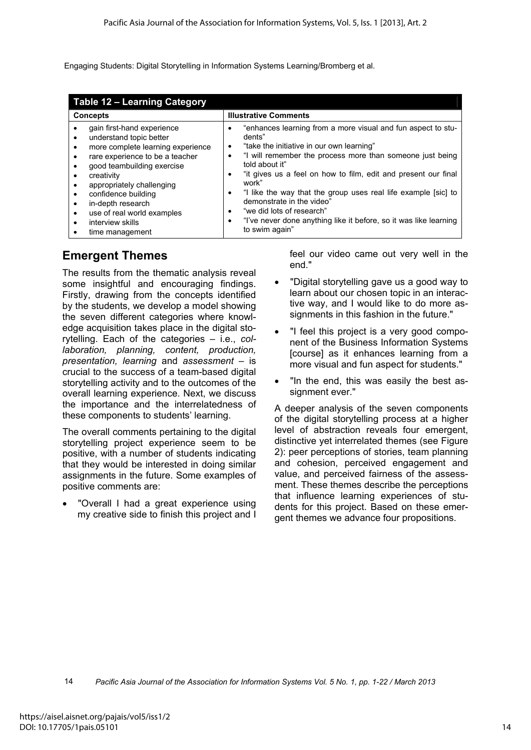| <b>Table 12 - Learning Category</b>                                                                                                                                                                                                                                                                                                                        |                                                                                                                                                                                                                                                                                                                                                                                                                                                                                                                              |  |  |
|------------------------------------------------------------------------------------------------------------------------------------------------------------------------------------------------------------------------------------------------------------------------------------------------------------------------------------------------------------|------------------------------------------------------------------------------------------------------------------------------------------------------------------------------------------------------------------------------------------------------------------------------------------------------------------------------------------------------------------------------------------------------------------------------------------------------------------------------------------------------------------------------|--|--|
| <b>Concepts</b>                                                                                                                                                                                                                                                                                                                                            | <b>Illustrative Comments</b>                                                                                                                                                                                                                                                                                                                                                                                                                                                                                                 |  |  |
| gain first-hand experience<br>understand topic better<br>٠<br>more complete learning experience<br>٠<br>rare experience to be a teacher<br>good teambuilding exercise<br>creativity<br>appropriately challenging<br>confidence building<br>$\bullet$<br>in-depth research<br>٠<br>use of real world examples<br>$\bullet$<br>interview skills<br>$\bullet$ | "enhances learning from a more visual and fun aspect to stu-<br>dents"<br>"take the initiative in our own learning"<br>٠<br>"I will remember the process more than someone just being<br>٠<br>told about it"<br>"it gives us a feel on how to film, edit and present our final<br>٠<br>work"<br>"I like the way that the group uses real life example [sic] to<br>$\bullet$<br>demonstrate in the video"<br>"we did lots of research"<br>$\bullet$<br>"I've never done anything like it before, so it was like learning<br>٠ |  |  |
| time management                                                                                                                                                                                                                                                                                                                                            | to swim again"                                                                                                                                                                                                                                                                                                                                                                                                                                                                                                               |  |  |

## **Emergent Themes**

The results from the thematic analysis reveal some insightful and encouraging findings. Firstly, drawing from the concepts identified by the students, we develop a model showing the seven different categories where knowledge acquisition takes place in the digital storytelling. Each of the categories – i.e., *collaboration, planning, content, production, presentation, learning* and *assessment* – is crucial to the success of a team-based digital storytelling activity and to the outcomes of the overall learning experience. Next, we discuss the importance and the interrelatedness of these components to students' learning.

The overall comments pertaining to the digital storytelling project experience seem to be positive, with a number of students indicating that they would be interested in doing similar assignments in the future. Some examples of positive comments are:

 "Overall I had a great experience using my creative side to finish this project and I feel our video came out very well in the end."

- "Digital storytelling gave us a good way to learn about our chosen topic in an interactive way, and I would like to do more assignments in this fashion in the future."
- "I feel this project is a very good component of the Business Information Systems [course] as it enhances learning from a more visual and fun aspect for students."
- "In the end, this was easily the best assignment ever."

A deeper analysis of the seven components of the digital storytelling process at a higher level of abstraction reveals four emergent, distinctive yet interrelated themes (see Figure 2): peer perceptions of stories, team planning and cohesion, perceived engagement and value, and perceived fairness of the assessment. These themes describe the perceptions that influence learning experiences of students for this project. Based on these emergent themes we advance four propositions.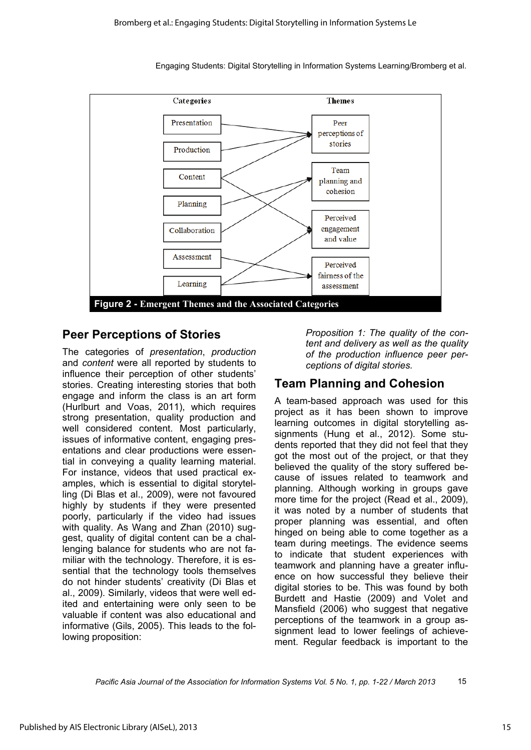

## **Peer Perceptions of Stories**

The categories of *presentation*, *production* and *content* were all reported by students to influence their perception of other students' stories. Creating interesting stories that both engage and inform the class is an art form (Hurlburt and Voas, 2011), which requires strong presentation, quality production and well considered content. Most particularly, issues of informative content, engaging presentations and clear productions were essential in conveying a quality learning material. For instance, videos that used practical examples, which is essential to digital storytelling (Di Blas et al., 2009), were not favoured highly by students if they were presented poorly, particularly if the video had issues with quality. As Wang and Zhan (2010) suggest, quality of digital content can be a challenging balance for students who are not familiar with the technology. Therefore, it is essential that the technology tools themselves do not hinder students' creativity (Di Blas et al., 2009). Similarly, videos that were well edited and entertaining were only seen to be valuable if content was also educational and informative (Gils, 2005). This leads to the following proposition:

*Proposition 1: The quality of the content and delivery as well as the quality of the production influence peer perceptions of digital stories.* 

## **Team Planning and Cohesion**

A team-based approach was used for this project as it has been shown to improve learning outcomes in digital storytelling assignments (Hung et al., 2012). Some students reported that they did not feel that they got the most out of the project, or that they believed the quality of the story suffered because of issues related to teamwork and planning. Although working in groups gave more time for the project (Read et al., 2009), it was noted by a number of students that proper planning was essential, and often hinged on being able to come together as a team during meetings. The evidence seems to indicate that student experiences with teamwork and planning have a greater influence on how successful they believe their digital stories to be. This was found by both Burdett and Hastie (2009) and Volet and Mansfield (2006) who suggest that negative perceptions of the teamwork in a group assignment lead to lower feelings of achievement. Regular feedback is important to the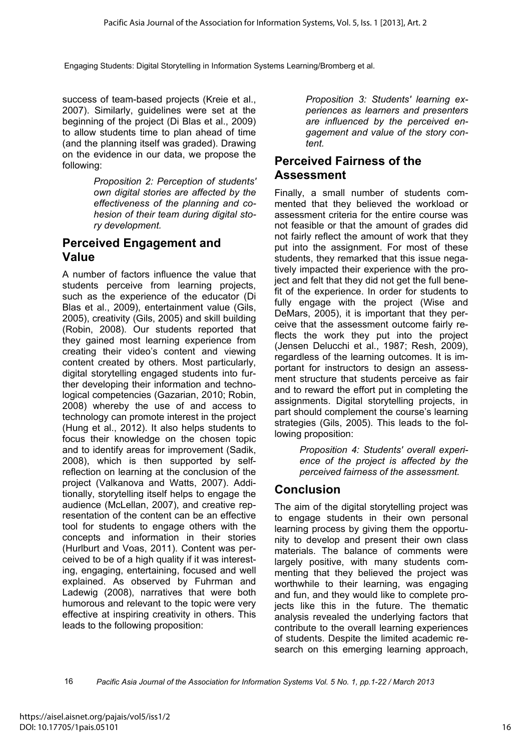success of team-based projects (Kreie et al., 2007). Similarly, guidelines were set at the beginning of the project (Di Blas et al., 2009) to allow students time to plan ahead of time (and the planning itself was graded). Drawing on the evidence in our data, we propose the following:

> *Proposition 2: Perception of students' own digital stories are affected by the effectiveness of the planning and cohesion of their team during digital story development.*

## **Perceived Engagement and Value**

A number of factors influence the value that students perceive from learning projects, such as the experience of the educator (Di Blas et al., 2009), entertainment value (Gils, 2005), creativity (Gils, 2005) and skill building (Robin, 2008). Our students reported that they gained most learning experience from creating their video's content and viewing content created by others. Most particularly, digital storytelling engaged students into further developing their information and technological competencies (Gazarian, 2010; Robin, 2008) whereby the use of and access to technology can promote interest in the project (Hung et al., 2012). It also helps students to focus their knowledge on the chosen topic and to identify areas for improvement (Sadik, 2008), which is then supported by selfreflection on learning at the conclusion of the project (Valkanova and Watts, 2007). Additionally, storytelling itself helps to engage the audience (McLellan, 2007), and creative representation of the content can be an effective tool for students to engage others with the concepts and information in their stories (Hurlburt and Voas, 2011). Content was perceived to be of a high quality if it was interesting, engaging, entertaining, focused and well explained. As observed by Fuhrman and Ladewig (2008), narratives that were both humorous and relevant to the topic were very effective at inspiring creativity in others. This leads to the following proposition:

*Proposition 3: Students' learning experiences as learners and presenters are influenced by the perceived engagement and value of the story content.* 

## **Perceived Fairness of the Assessment**

Finally, a small number of students commented that they believed the workload or assessment criteria for the entire course was not feasible or that the amount of grades did not fairly reflect the amount of work that they put into the assignment. For most of these students, they remarked that this issue negatively impacted their experience with the project and felt that they did not get the full benefit of the experience. In order for students to fully engage with the project (Wise and DeMars, 2005), it is important that they perceive that the assessment outcome fairly reflects the work they put into the project (Jensen Delucchi et al., 1987; Resh, 2009), regardless of the learning outcomes. It is important for instructors to design an assessment structure that students perceive as fair and to reward the effort put in completing the assignments. Digital storytelling projects, in part should complement the course's learning strategies (Gils, 2005). This leads to the following proposition:

> *Proposition 4: Students' overall experience of the project is affected by the perceived fairness of the assessment.*

## **Conclusion**

The aim of the digital storytelling project was to engage students in their own personal learning process by giving them the opportunity to develop and present their own class materials. The balance of comments were largely positive, with many students commenting that they believed the project was worthwhile to their learning, was engaging and fun, and they would like to complete projects like this in the future. The thematic analysis revealed the underlying factors that contribute to the overall learning experiences of students. Despite the limited academic research on this emerging learning approach,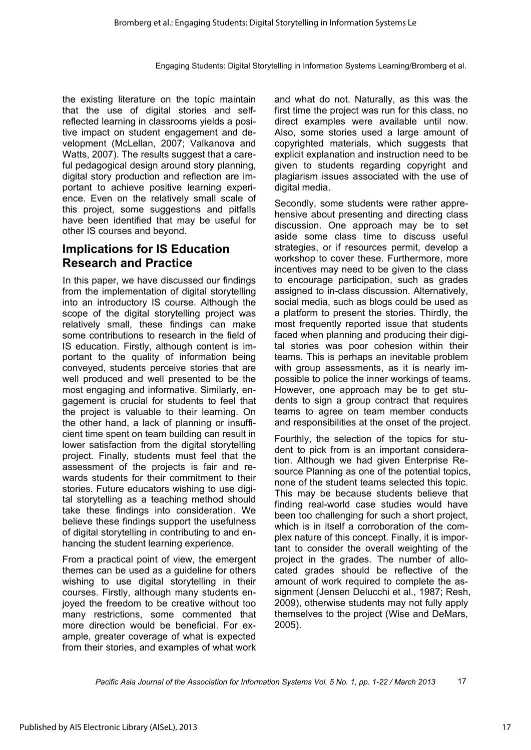the existing literature on the topic maintain that the use of digital stories and selfreflected learning in classrooms yields a positive impact on student engagement and development (McLellan, 2007; Valkanova and Watts, 2007). The results suggest that a careful pedagogical design around story planning, digital story production and reflection are important to achieve positive learning experience. Even on the relatively small scale of this project, some suggestions and pitfalls have been identified that may be useful for other IS courses and beyond.

## **Implications for IS Education Research and Practice**

In this paper, we have discussed our findings from the implementation of digital storytelling into an introductory IS course. Although the scope of the digital storytelling project was relatively small, these findings can make some contributions to research in the field of IS education. Firstly, although content is important to the quality of information being conveyed, students perceive stories that are well produced and well presented to be the most engaging and informative. Similarly, engagement is crucial for students to feel that the project is valuable to their learning. On the other hand, a lack of planning or insufficient time spent on team building can result in lower satisfaction from the digital storytelling project. Finally, students must feel that the assessment of the projects is fair and rewards students for their commitment to their stories. Future educators wishing to use digital storytelling as a teaching method should take these findings into consideration. We believe these findings support the usefulness of digital storytelling in contributing to and enhancing the student learning experience.

From a practical point of view, the emergent themes can be used as a guideline for others wishing to use digital storytelling in their courses. Firstly, although many students enjoyed the freedom to be creative without too many restrictions, some commented that more direction would be beneficial. For example, greater coverage of what is expected from their stories, and examples of what work

and what do not. Naturally, as this was the first time the project was run for this class, no direct examples were available until now. Also, some stories used a large amount of copyrighted materials, which suggests that explicit explanation and instruction need to be given to students regarding copyright and plagiarism issues associated with the use of digital media.

Secondly, some students were rather apprehensive about presenting and directing class discussion. One approach may be to set aside some class time to discuss useful strategies, or if resources permit, develop a workshop to cover these. Furthermore, more incentives may need to be given to the class to encourage participation, such as grades assigned to in-class discussion. Alternatively, social media, such as blogs could be used as a platform to present the stories. Thirdly, the most frequently reported issue that students faced when planning and producing their digital stories was poor cohesion within their teams. This is perhaps an inevitable problem with group assessments, as it is nearly impossible to police the inner workings of teams. However, one approach may be to get students to sign a group contract that requires teams to agree on team member conducts and responsibilities at the onset of the project.

Fourthly, the selection of the topics for student to pick from is an important consideration. Although we had given Enterprise Resource Planning as one of the potential topics, none of the student teams selected this topic. This may be because students believe that finding real-world case studies would have been too challenging for such a short project, which is in itself a corroboration of the complex nature of this concept. Finally, it is important to consider the overall weighting of the project in the grades. The number of allocated grades should be reflective of the amount of work required to complete the assignment (Jensen Delucchi et al., 1987; Resh, 2009), otherwise students may not fully apply themselves to the project (Wise and DeMars, 2005).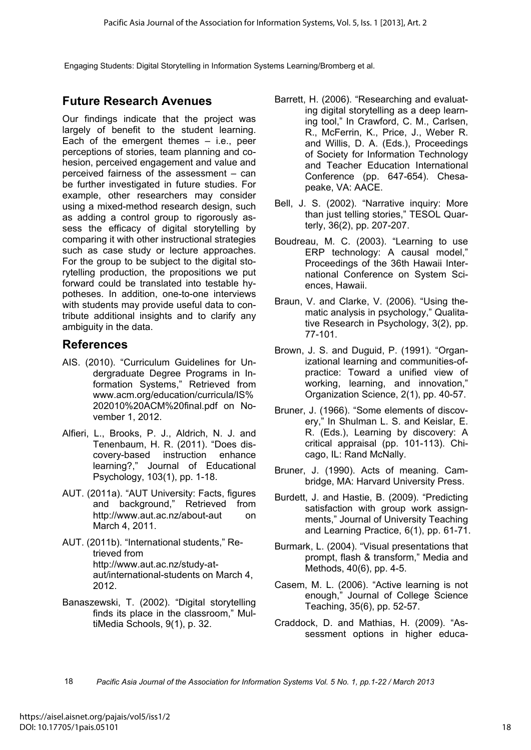## **Future Research Avenues**

Our findings indicate that the project was largely of benefit to the student learning. Each of the emergent themes – i.e., peer perceptions of stories, team planning and cohesion, perceived engagement and value and perceived fairness of the assessment – can be further investigated in future studies. For example, other researchers may consider using a mixed-method research design, such as adding a control group to rigorously assess the efficacy of digital storytelling by comparing it with other instructional strategies such as case study or lecture approaches. For the group to be subject to the digital storytelling production, the propositions we put forward could be translated into testable hypotheses. In addition, one-to-one interviews with students may provide useful data to contribute additional insights and to clarify any ambiguity in the data.

#### **References**

- AIS. (2010). "Curriculum Guidelines for Undergraduate Degree Programs in Information Systems," Retrieved from www.acm.org/education/curricula/IS% 202010%20ACM%20final.pdf on November 1, 2012.
- Alfieri, L., Brooks, P. J., Aldrich, N. J. and Tenenbaum, H. R. (2011). "Does discovery-based instruction enhance learning?," Journal of Educational Psychology, 103(1), pp. 1-18.
- AUT. (2011a). "AUT University: Facts, figures and background," Retrieved from http://www.aut.ac.nz/about-aut on March 4, 2011.
- AUT. (2011b). "International students," Retrieved from http://www.aut.ac.nz/study-ataut/international-students on March 4, 2012.
- Banaszewski, T. (2002). "Digital storytelling finds its place in the classroom," MultiMedia Schools, 9(1), p. 32.
- Barrett, H. (2006). "Researching and evaluating digital storytelling as a deep learning tool," In Crawford, C. M., Carlsen, R., McFerrin, K., Price, J., Weber R. and Willis, D. A. (Eds.), Proceedings of Society for Information Technology and Teacher Education International Conference (pp. 647-654). Chesapeake, VA: AACE.
- Bell, J. S. (2002). "Narrative inquiry: More than just telling stories," TESOL Quarterly, 36(2), pp. 207-207.
- Boudreau, M. C. (2003). "Learning to use ERP technology: A causal model," Proceedings of the 36th Hawaii International Conference on System Sciences, Hawaii.
- Braun, V. and Clarke, V. (2006). "Using thematic analysis in psychology," Qualitative Research in Psychology, 3(2), pp. 77-101.
- Brown, J. S. and Duguid, P. (1991). "Organizational learning and communities-ofpractice: Toward a unified view of working, learning, and innovation," Organization Science, 2(1), pp. 40-57.
- Bruner, J. (1966). "Some elements of discovery," In Shulman L. S. and Keislar, E. R. (Eds.), Learning by discovery: A critical appraisal (pp. 101-113). Chicago, IL: Rand McNally.
- Bruner, J. (1990). Acts of meaning. Cambridge, MA: Harvard University Press.
- Burdett, J. and Hastie, B. (2009). "Predicting satisfaction with group work assignments," Journal of University Teaching and Learning Practice, 6(1), pp. 61-71.
- Burmark, L. (2004). "Visual presentations that prompt, flash & transform," Media and Methods, 40(6), pp. 4-5.
- Casem, M. L. (2006). "Active learning is not enough," Journal of College Science Teaching, 35(6), pp. 52-57.
- Craddock, D. and Mathias, H. (2009). "Assessment options in higher educa-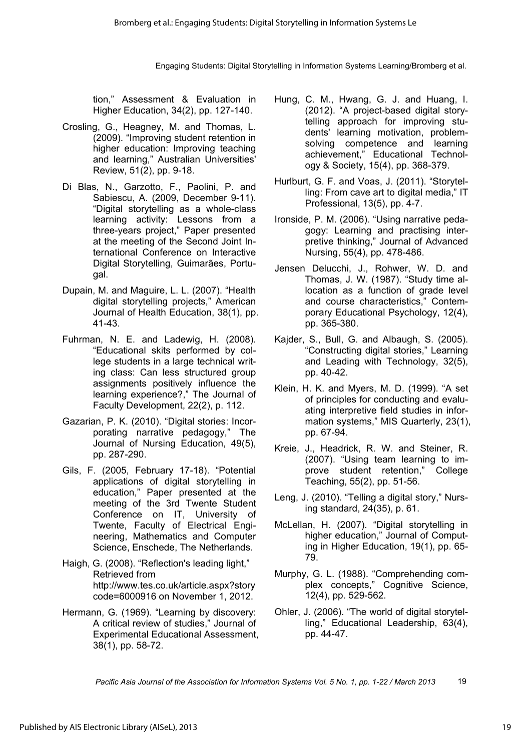tion," Assessment & Evaluation in Higher Education, 34(2), pp. 127-140.

- Crosling, G., Heagney, M. and Thomas, L. (2009). "Improving student retention in higher education: Improving teaching and learning," Australian Universities' Review, 51(2), pp. 9-18.
- Di Blas, N., Garzotto, F., Paolini, P. and Sabiescu, A. (2009, December 9-11). "Digital storytelling as a whole-class learning activity: Lessons from a three-years project," Paper presented at the meeting of the Second Joint International Conference on Interactive Digital Storytelling, Guimarães, Portugal.
- Dupain, M. and Maguire, L. L. (2007). "Health digital storytelling projects," American Journal of Health Education, 38(1), pp. 41-43.
- Fuhrman, N. E. and Ladewig, H. (2008). "Educational skits performed by college students in a large technical writing class: Can less structured group assignments positively influence the learning experience?," The Journal of Faculty Development, 22(2), p. 112.
- Gazarian, P. K. (2010). "Digital stories: Incorporating narrative pedagogy," The Journal of Nursing Education, 49(5), pp. 287-290.
- Gils, F. (2005, February 17-18). "Potential applications of digital storytelling in education," Paper presented at the meeting of the 3rd Twente Student Conference on IT, University of Twente, Faculty of Electrical Engineering, Mathematics and Computer Science, Enschede, The Netherlands.
- Haigh, G. (2008). "Reflection's leading light," Retrieved from http://www.tes.co.uk/article.aspx?story code=6000916 on November 1, 2012.
- Hermann, G. (1969). "Learning by discovery: A critical review of studies," Journal of Experimental Educational Assessment, 38(1), pp. 58-72.
- Hung, C. M., Hwang, G. J. and Huang, I. (2012). "A project-based digital storytelling approach for improving students' learning motivation, problemsolving competence and learning achievement," Educational Technology & Society, 15(4), pp. 368-379.
- Hurlburt, G. F. and Voas, J. (2011). "Storytelling: From cave art to digital media," IT Professional, 13(5), pp. 4-7.
- Ironside, P. M. (2006). "Using narrative pedagogy: Learning and practising interpretive thinking," Journal of Advanced Nursing, 55(4), pp. 478-486.
- Jensen Delucchi, J., Rohwer, W. D. and Thomas, J. W. (1987). "Study time allocation as a function of grade level and course characteristics," Contemporary Educational Psychology, 12(4), pp. 365-380.
- Kajder, S., Bull, G. and Albaugh, S. (2005). "Constructing digital stories," Learning and Leading with Technology, 32(5), pp. 40-42.
- Klein, H. K. and Myers, M. D. (1999). "A set of principles for conducting and evaluating interpretive field studies in information systems," MIS Quarterly, 23(1), pp. 67-94.
- Kreie, J., Headrick, R. W. and Steiner, R. (2007). "Using team learning to improve student retention," College Teaching, 55(2), pp. 51-56.
- Leng, J. (2010). "Telling a digital story," Nursing standard, 24(35), p. 61.
- McLellan, H. (2007). "Digital storytelling in higher education," Journal of Computing in Higher Education, 19(1), pp. 65- 79.
- Murphy, G. L. (1988). "Comprehending complex concepts," Cognitive Science, 12(4), pp. 529-562.
- Ohler, J. (2006). "The world of digital storytelling," Educational Leadership, 63(4), pp. 44-47.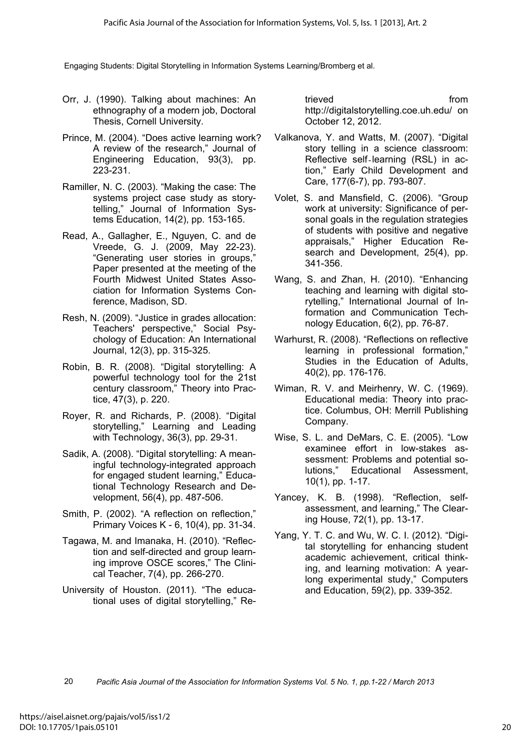- Orr, J. (1990). Talking about machines: An ethnography of a modern job, Doctoral Thesis, Cornell University.
- Prince, M. (2004). "Does active learning work? A review of the research," Journal of Engineering Education, 93(3), pp. 223-231.
- Ramiller, N. C. (2003). "Making the case: The systems project case study as storytelling," Journal of Information Systems Education, 14(2), pp. 153-165.
- Read, A., Gallagher, E., Nguyen, C. and de Vreede, G. J. (2009, May 22-23). "Generating user stories in groups," Paper presented at the meeting of the Fourth Midwest United States Association for Information Systems Conference, Madison, SD.
- Resh, N. (2009). "Justice in grades allocation: Teachers' perspective," Social Psychology of Education: An International Journal, 12(3), pp. 315-325.
- Robin, B. R. (2008). "Digital storytelling: A powerful technology tool for the 21st century classroom," Theory into Practice, 47(3), p. 220.
- Royer, R. and Richards, P. (2008). "Digital storytelling," Learning and Leading with Technology, 36(3), pp. 29-31.
- Sadik, A. (2008). "Digital storytelling: A meaningful technology-integrated approach for engaged student learning," Educational Technology Research and Development, 56(4), pp. 487-506.
- Smith, P. (2002). "A reflection on reflection," Primary Voices K - 6, 10(4), pp. 31-34.
- Tagawa, M. and Imanaka, H. (2010). "Reflection and self-directed and group learning improve OSCE scores," The Clinical Teacher, 7(4), pp. 266-270.
- University of Houston. (2011). "The educational uses of digital storytelling," Re-

trieved from the from http://digitalstorytelling.coe.uh.edu/ on October 12, 2012.

- Valkanova, Y. and Watts, M. (2007). "Digital story telling in a science classroom: Reflective self-learning (RSL) in action," Early Child Development and Care, 177(6-7), pp. 793-807.
- Volet, S. and Mansfield, C. (2006). "Group work at university: Significance of personal goals in the regulation strategies of students with positive and negative appraisals," Higher Education Research and Development, 25(4), pp. 341-356.
- Wang, S. and Zhan, H. (2010). "Enhancing teaching and learning with digital storytelling," International Journal of Information and Communication Technology Education, 6(2), pp. 76-87.
- Warhurst, R. (2008). "Reflections on reflective learning in professional formation," Studies in the Education of Adults, 40(2), pp. 176-176.
- Wiman, R. V. and Meirhenry, W. C. (1969). Educational media: Theory into practice. Columbus, OH: Merrill Publishing Company.
- Wise, S. L. and DeMars, C. E. (2005). "Low examinee effort in low-stakes assessment: Problems and potential solutions," Educational Assessment, 10(1), pp. 1-17.
- Yancey, K. B. (1998). "Reflection, selfassessment, and learning," The Clearing House, 72(1), pp. 13-17.
- Yang, Y. T. C. and Wu, W. C. I. (2012). "Digital storytelling for enhancing student academic achievement, critical thinking, and learning motivation: A yearlong experimental study," Computers and Education, 59(2), pp. 339-352.